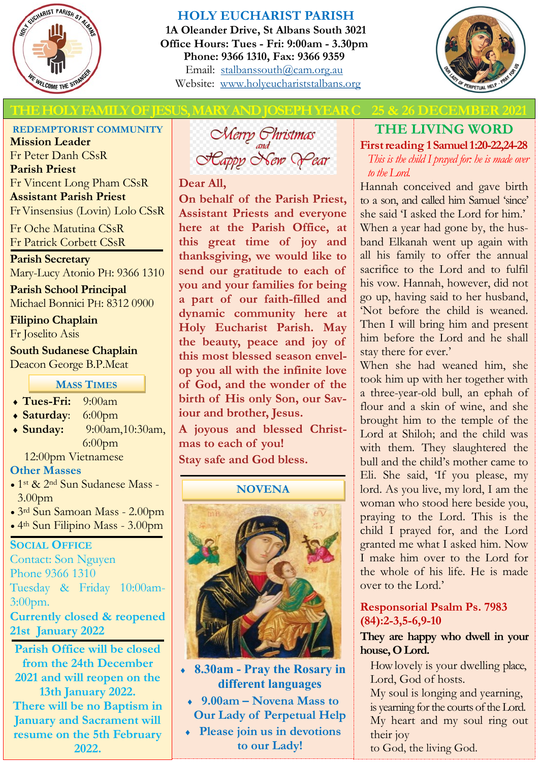

## **HOLY EUCHARIST PARISH**

**1A Oleander Drive, St Albans South 3021 Office Hours: Tues - Fri: 9:00am - 3.30pm Phone: 9366 1310, Fax: 9366 9359** Email: [stalbanssouth@cam.org.au](mailto:stalbanssouth@cam.org.au) Website:[www.holyeuchariststalbans.org](http://www.holyeuchariststalbans.org)



# **THE HOLY FAMILY OF JESUS, MARY AND JOSEPH YEAR C 25 & 26 DECEMBER 2021**

### **REDEMPTORIST COMMUNITY**

**Mission Leader** Fr Peter Danh CSsR **Parish Priest** Fr Vincent Long Pham CSsR **Assistant Parish Priest**  Fr Vinsensius (Lovin) Lolo CSsR

Fr Oche Matutina CSsR Fr Patrick Corbett CSsR

**Parish Secretary** Mary-Lucy Atonio PH: 9366 1310

**Parish School Principal** Michael Bonnici PH: 8312 0900

**Filipino Chaplain** Fr Joselito Asis

**South Sudanese Chaplain** Deacon George B.P.Meat

**MASS TIMES**

- **Tues-Fri:** 9:00am
- **Saturday**: 6:00pm
- **Sunday:** 9:00am,10:30am, 6:00pm

12:00pm Vietnamese

# **Other Masses**

- 1<sup>st</sup> & 2<sup>nd</sup> Sun Sudanese Mass -3.00pm
- 3rd Sun Samoan Mass 2.00pm
- 4th Sun Filipino Mass 3.00pm

### **SOCIAL OFFICE**

Contact: Son Nguyen Phone 9366 1310 Tuesday & Friday 10:00am-3:00pm. **Currently closed & reopened 21st January 2022**

**Parish Office will be closed from the 24th December 2021 and will reopen on the 13th January 2022. There will be no Baptism in January and Sacrament will resume on the 5th February 2022.**

Merry Phristmas<br>SCappy New Year

# **Dear All,**

**On behalf of the Parish Priest, Assistant Priests and everyone here at the Parish Office, at this great time of joy and thanksgiving, we would like to send our gratitude to each of you and your families for being a part of our faith-filled and dynamic community here at Holy Eucharist Parish. May the beauty, peace and joy of this most blessed season envelop you all with the infinite love of God, and the wonder of the birth of His only Son, our Saviour and brother, Jesus. A joyous and blessed Christ-**

**mas to each of you! Stay safe and God bless.**

### **NOVENA**



- **8.30am - Pray the Rosary in different languages**
	- **9.00am – Novena Mass to Our Lady of Perpetual Help**
- **Please join us in devotions to our Lady!**

# **THE LIVING WORD**

# **First reading 1 Samuel 1:20-22,24-28**

*This is the child I prayed for: he is made over to the Lord.*

Hannah conceived and gave birth to a son, and called him Samuel 'since' she said 'I asked the Lord for him.' When a year had gone by, the husband Elkanah went up again with all his family to offer the annual sacrifice to the Lord and to fulfil his vow. Hannah, however, did not go up, having said to her husband, 'Not before the child is weaned. Then I will bring him and present him before the Lord and he shall stay there for ever.'

When she had weaned him, she took him up with her together with a three-year-old bull, an ephah of flour and a skin of wine, and she brought him to the temple of the Lord at Shiloh; and the child was with them. They slaughtered the bull and the child's mother came to Eli. She said, 'If you please, my lord. As you live, my lord, I am the woman who stood here beside you, praying to the Lord. This is the child I prayed for, and the Lord granted me what I asked him. Now I make him over to the Lord for the whole of his life. He is made over to the Lord.'

### **Responsorial Psalm Ps. 7983 (84):2-3,5-6,9-10**

#### **They are happy who dwell in your house, O Lord.**

How lovely is your dwelling place, Lord, God of hosts.

My soul is longing and yearning, is yearning for the courts of the Lord.

My heart and my soul ring out their joy

to God, the living God.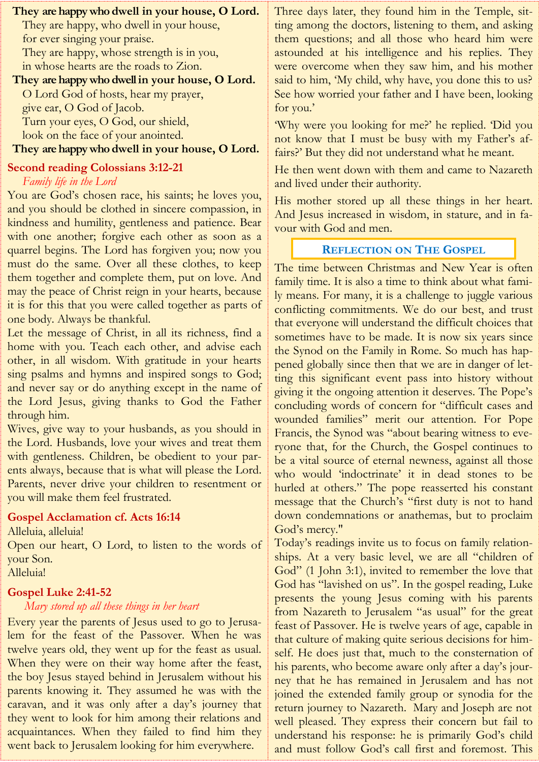# **They are happy who dwell in your house, O Lord.** They are happy, who dwell in your house, for ever singing your praise. They are happy, whose strength is in you, in whose hearts are the roads to Zion. **They are happy who dwell in your house, O Lord.** O Lord God of hosts, hear my prayer, give ear, O God of Jacob. Turn your eyes, O God, our shield, look on the face of your anointed. **They are happy who dwell in your house, O Lord.**

#### **Second reading Colossians 3:12-21** *Family life in the Lord*

You are God's chosen race, his saints; he loves you, and you should be clothed in sincere compassion, in kindness and humility, gentleness and patience. Bear with one another; forgive each other as soon as a quarrel begins. The Lord has forgiven you; now you must do the same. Over all these clothes, to keep them together and complete them, put on love. And may the peace of Christ reign in your hearts, because it is for this that you were called together as parts of one body. Always be thankful.

Let the message of Christ, in all its richness, find a home with you. Teach each other, and advise each other, in all wisdom. With gratitude in your hearts sing psalms and hymns and inspired songs to God; and never say or do anything except in the name of the Lord Jesus, giving thanks to God the Father through him.

Wives, give way to your husbands, as you should in the Lord. Husbands, love your wives and treat them with gentleness. Children, be obedient to your parents always, because that is what will please the Lord. Parents, never drive your children to resentment or you will make them feel frustrated.

### **Gospel Acclamation cf. Acts 16:14**

Alleluia, alleluia!

Open our heart, O Lord, to listen to the words of your Son.

Alleluia!

### **Gospel Luke 2:41-52**

### *Mary stored up all these things in her heart*

Every year the parents of Jesus used to go to Jerusalem for the feast of the Passover. When he was twelve years old, they went up for the feast as usual. When they were on their way home after the feast, the boy Jesus stayed behind in Jerusalem without his parents knowing it. They assumed he was with the caravan, and it was only after a day's journey that they went to look for him among their relations and acquaintances. When they failed to find him they went back to Jerusalem looking for him everywhere.

Three days later, they found him in the Temple, sitting among the doctors, listening to them, and asking them questions; and all those who heard him were astounded at his intelligence and his replies. They were overcome when they saw him, and his mother said to him, 'My child, why have, you done this to us? See how worried your father and I have been, looking for you.'

'Why were you looking for me?' he replied. 'Did you not know that I must be busy with my Father's affairs?' But they did not understand what he meant.

He then went down with them and came to Nazareth and lived under their authority.

His mother stored up all these things in her heart. And Jesus increased in wisdom, in stature, and in favour with God and men.

# **REFLECTION ON THE GOSPEL**

The time between Christmas and New Year is often family time. It is also a time to think about what family means. For many, it is a challenge to juggle various conflicting commitments. We do our best, and trust that everyone will understand the difficult choices that sometimes have to be made. It is now six years since the Synod on the Family in Rome. So much has happened globally since then that we are in danger of letting this significant event pass into history without giving it the ongoing attention it deserves. The Pope's concluding words of concern for "difficult cases and wounded families" merit our attention. For Pope Francis, the Synod was "about bearing witness to everyone that, for the Church, the Gospel continues to be a vital source of eternal newness, against all those who would 'indoctrinate' it in dead stones to be hurled at others." The pope reasserted his constant message that the Church's "first duty is not to hand down condemnations or anathemas, but to proclaim God's mercy."

Today's readings invite us to focus on family relationships. At a very basic level, we are all "children of God" (1 John 3:1), invited to remember the love that God has "lavished on us". In the gospel reading, Luke presents the young Jesus coming with his parents from Nazareth to Jerusalem "as usual" for the great feast of Passover. He is twelve years of age, capable in that culture of making quite serious decisions for himself. He does just that, much to the consternation of his parents, who become aware only after a day's journey that he has remained in Jerusalem and has not joined the extended family group or synodia for the return journey to Nazareth. Mary and Joseph are not well pleased. They express their concern but fail to understand his response: he is primarily God's child and must follow God's call first and foremost. This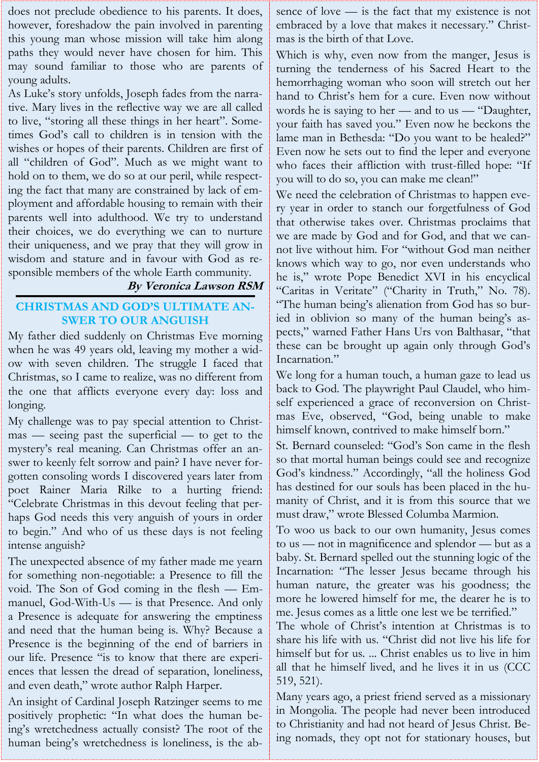does not preclude obedience to his parents. It does, however, foreshadow the pain involved in parenting this young man whose mission will take him along paths they would never have chosen for him. This may sound familiar to those who are parents of young adults.

As Luke's story unfolds, Joseph fades from the narrative. Mary lives in the reflective way we are all called to live, "storing all these things in her heart". Sometimes God's call to children is in tension with the wishes or hopes of their parents. Children are first of all "children of God". Much as we might want to hold on to them, we do so at our peril, while respecting the fact that many are constrained by lack of employment and affordable housing to remain with their parents well into adulthood. We try to understand their choices, we do everything we can to nurture their uniqueness, and we pray that they will grow in wisdom and stature and in favour with God as responsible members of the whole Earth community.

# **By Veronica Lawson RSM**

### **CHRISTMAS AND GOD'S ULTIMATE AN-SWER TO OUR ANGUISH**

My father died suddenly on Christmas Eve morning when he was 49 years old, leaving my mother a widow with seven children. The struggle I faced that Christmas, so I came to realize, was no different from the one that afflicts everyone every day: loss and longing.

My challenge was to pay special attention to Christmas — seeing past the superficial — to get to the mystery's real meaning. Can Christmas offer an answer to keenly felt sorrow and pain? I have never forgotten consoling words I discovered years later from poet Rainer Maria Rilke to a hurting friend: "Celebrate Christmas in this devout feeling that perhaps God needs this very anguish of yours in order to begin." And who of us these days is not feeling intense anguish?

The unexpected absence of my father made me yearn for something non-negotiable: a Presence to fill the void. The Son of God coming in the flesh — Emmanuel, God-With-Us — is that Presence. And only a Presence is adequate for answering the emptiness and need that the human being is. Why? Because a Presence is the beginning of the end of barriers in our life. Presence "is to know that there are experiences that lessen the dread of separation, loneliness, and even death," wrote author Ralph Harper.

An insight of Cardinal Joseph Ratzinger seems to me positively prophetic: "In what does the human being's wretchedness actually consist? The root of the human being's wretchedness is loneliness, is the absence of love — is the fact that my existence is not embraced by a love that makes it necessary." Christmas is the birth of that Love.

Which is why, even now from the manger, Jesus is turning the tenderness of his Sacred Heart to the hemorrhaging woman who soon will stretch out her hand to Christ's hem for a cure. Even now without words he is saying to her — and to us — "Daughter, your faith has saved you." Even now he beckons the lame man in Bethesda: "Do you want to be healed?" Even now he sets out to find the leper and everyone who faces their affliction with trust-filled hope: "If you will to do so, you can make me clean!"

We need the celebration of Christmas to happen every year in order to stanch our forgetfulness of God that otherwise takes over. Christmas proclaims that we are made by God and for God, and that we cannot live without him. For "without God man neither knows which way to go, nor even understands who he is," wrote Pope Benedict XVI in his encyclical "Caritas in Veritate" ("Charity in Truth," No. 78). "The human being's alienation from God has so buried in oblivion so many of the human being's aspects," warned Father Hans Urs von Balthasar, "that these can be brought up again only through God's Incarnation."

We long for a human touch, a human gaze to lead us back to God. The playwright Paul Claudel, who himself experienced a grace of reconversion on Christmas Eve, observed, "God, being unable to make himself known, contrived to make himself born."

St. Bernard counseled: "God's Son came in the flesh so that mortal human beings could see and recognize God's kindness." Accordingly, "all the holiness God has destined for our souls has been placed in the humanity of Christ, and it is from this source that we must draw," wrote Blessed Columba Marmion.

To woo us back to our own humanity, Jesus comes to us — not in magnificence and splendor — but as a baby. St. Bernard spelled out the stunning logic of the Incarnation: "The lesser Jesus became through his human nature, the greater was his goodness; the more he lowered himself for me, the dearer he is to me. Jesus comes as a little one lest we be terrified."

The whole of Christ's intention at Christmas is to share his life with us. "Christ did not live his life for himself but for us. ... Christ enables us to live in him all that he himself lived, and he lives it in us (CCC 519, 521).

Many years ago, a priest friend served as a missionary in Mongolia. The people had never been introduced to Christianity and had not heard of Jesus Christ. Being nomads, they opt not for stationary houses, but